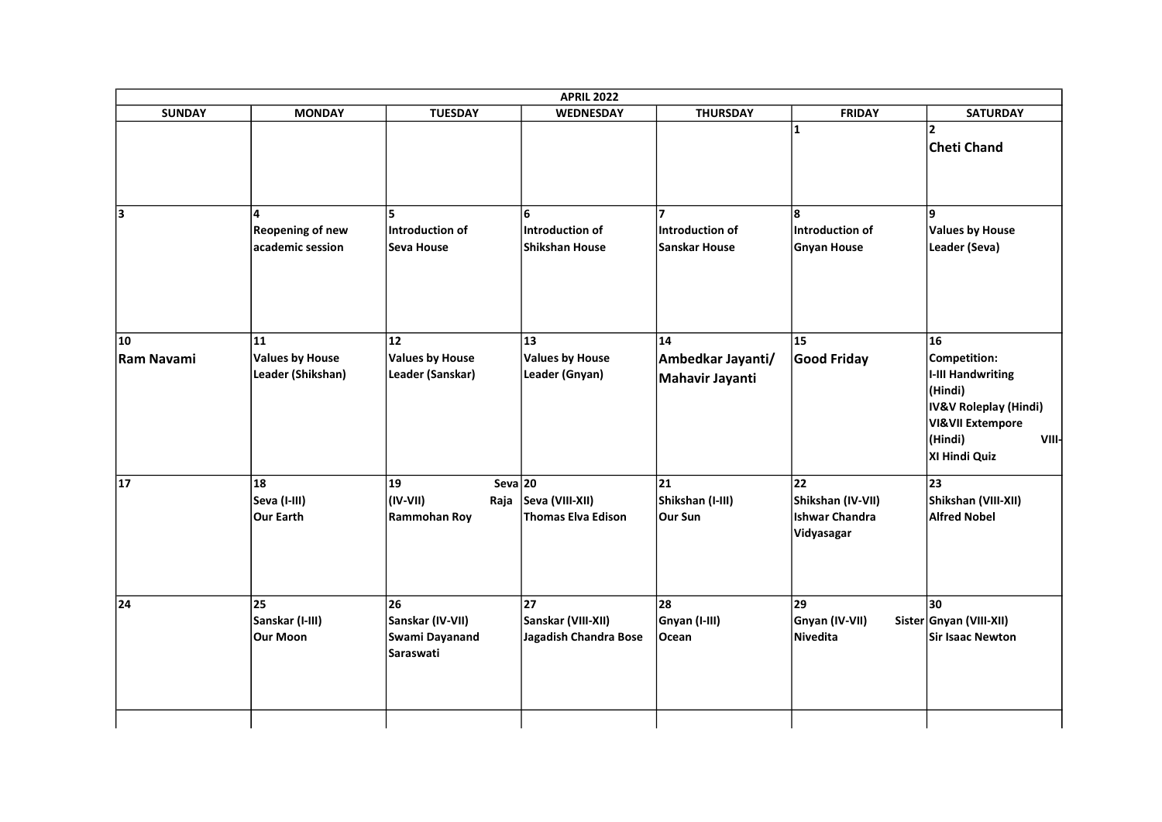| <b>SUNDAY</b>           | <b>MONDAY</b>                                     | <b>TUESDAY</b>                                        | <b>WEDNESDAY</b>                                        | <b>THURSDAY</b>                                       | <b>FRIDAY</b>                                           | <b>SATURDAY</b>                                                                                                                                 |
|-------------------------|---------------------------------------------------|-------------------------------------------------------|---------------------------------------------------------|-------------------------------------------------------|---------------------------------------------------------|-------------------------------------------------------------------------------------------------------------------------------------------------|
|                         |                                                   |                                                       |                                                         |                                                       | 1                                                       | $\overline{\mathbf{z}}$<br>Cheti Chand                                                                                                          |
| lз                      | Λ<br><b>Reopening of new</b><br>academic session  | ls.<br>Introduction of<br>Seva House                  | 6<br>Introduction of<br>Shikshan House                  | $\overline{ }$<br>Introduction of<br>Sanskar House    | l8.<br>Introduction of<br><b>Gnyan House</b>            | l9.<br><b>Values by House</b><br>Leader (Seva)                                                                                                  |
| 10<br><b>Ram Navami</b> | 11<br><b>Values by House</b><br>Leader (Shikshan) | 12<br><b>Values by House</b><br>Leader (Sanskar)      | 13<br><b>Values by House</b><br>Leader (Gnyan)          | 14<br>Ambedkar Jayanti/<br>Mahavir Jayanti            | 15<br>Good Friday                                       | 16<br>Competition:<br>I-III Handwriting<br>(Hindi)<br>IV&V Roleplay (Hindi)<br><b>VI&amp;VII Extempore</b><br>(Hindi)<br>VIII-<br>XI Hindi Quiz |
| 17                      | 18<br> Seva (I-III)<br>Our Earth                  | 19<br>$\vert$ (IV-VII)<br><b>Rammohan Roy</b>         | Seva $20$<br>Raja Seva (VIII-XII)<br>Thomas Elva Edison | $\overline{21}$<br>Shikshan (I-III)<br><b>Our Sun</b> | 22<br>Shikshan (IV-VII)<br>Ishwar Chandra<br>Vidyasagar | $\overline{23}$<br>Shikshan (VIII-XII)<br><b>Alfred Nobel</b>                                                                                   |
| 24                      | 25<br>Sanskar (I-III)<br>Our Moon                 | 26<br>Sanskar (IV-VII)<br>Swami Dayanand<br>Saraswati | 27<br>Sanskar (VIII-XII)<br>Jagadish Chandra Bose       | 28<br>Gnyan (I-III)<br>Ocean                          | 29<br>Gnyan (IV-VII)<br>Nivedita                        | 30<br>Sister Gnyan (VIII-XII)<br>Sir Isaac Newton                                                                                               |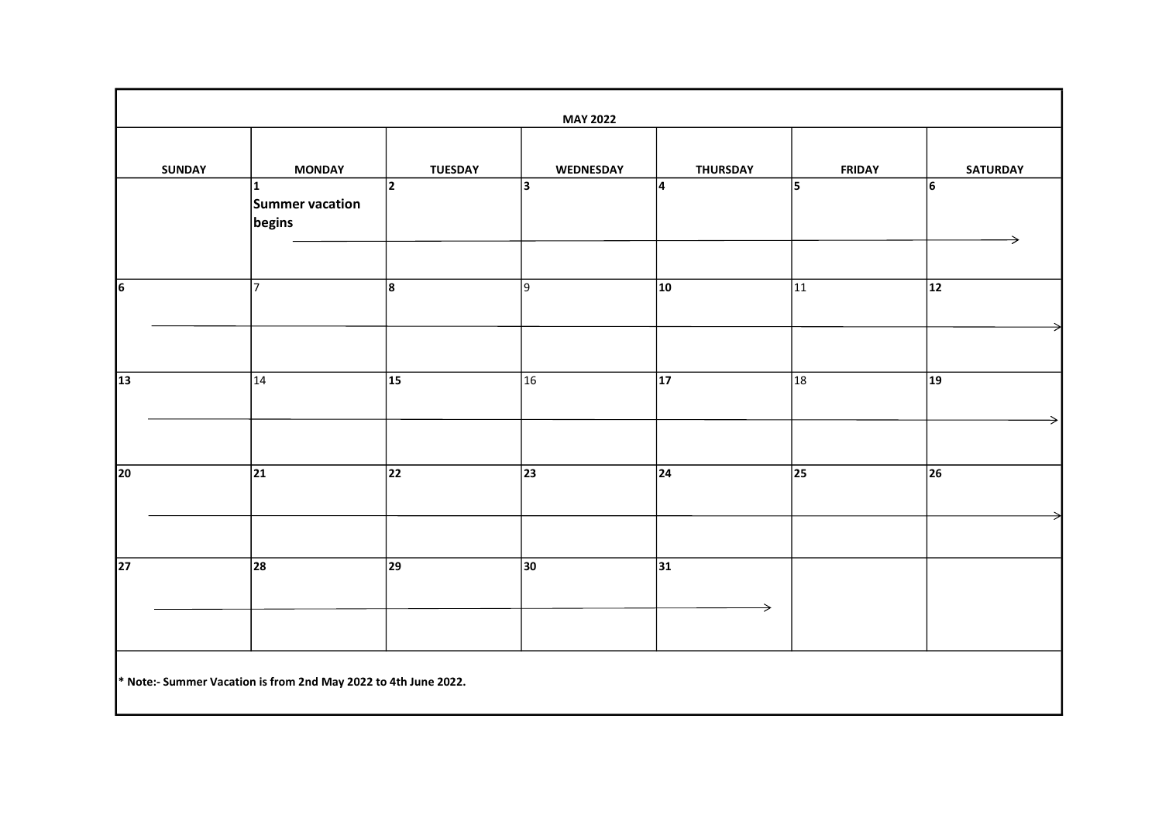|                 | <b>MAY 2022</b>                                                 |                 |                  |                                  |               |                 |
|-----------------|-----------------------------------------------------------------|-----------------|------------------|----------------------------------|---------------|-----------------|
| <b>SUNDAY</b>   | <b>MONDAY</b>                                                   | <b>TUESDAY</b>  | <b>WEDNESDAY</b> | <b>THURSDAY</b>                  | <b>FRIDAY</b> | <b>SATURDAY</b> |
|                 | $\mathbf{1}$<br>Summer vacation<br>begins                       | 2               | 3                | 4                                | 5             | 6<br>→          |
| $\overline{6}$  | $\overline{7}$                                                  | 8               | 9                | 10                               | 11            | $ 12\rangle$    |
|                 |                                                                 |                 |                  |                                  |               |                 |
| $\overline{13}$ | 14                                                              | $\overline{15}$ | $\overline{16}$  | $\overline{17}$                  | 18            | $ 19\rangle$    |
|                 | $ 21\rangle$                                                    | 22              | 23               | $\overline{24}$                  |               |                 |
| 20              |                                                                 |                 |                  |                                  | 25            | 26              |
|                 |                                                                 |                 |                  |                                  |               |                 |
| $\overline{27}$ | 28                                                              | $ 29\rangle$    | $ 30\rangle$     | $\overline{31}$<br>$\rightarrow$ |               |                 |
|                 | * Note:- Summer Vacation is from 2nd May 2022 to 4th June 2022. |                 |                  |                                  |               |                 |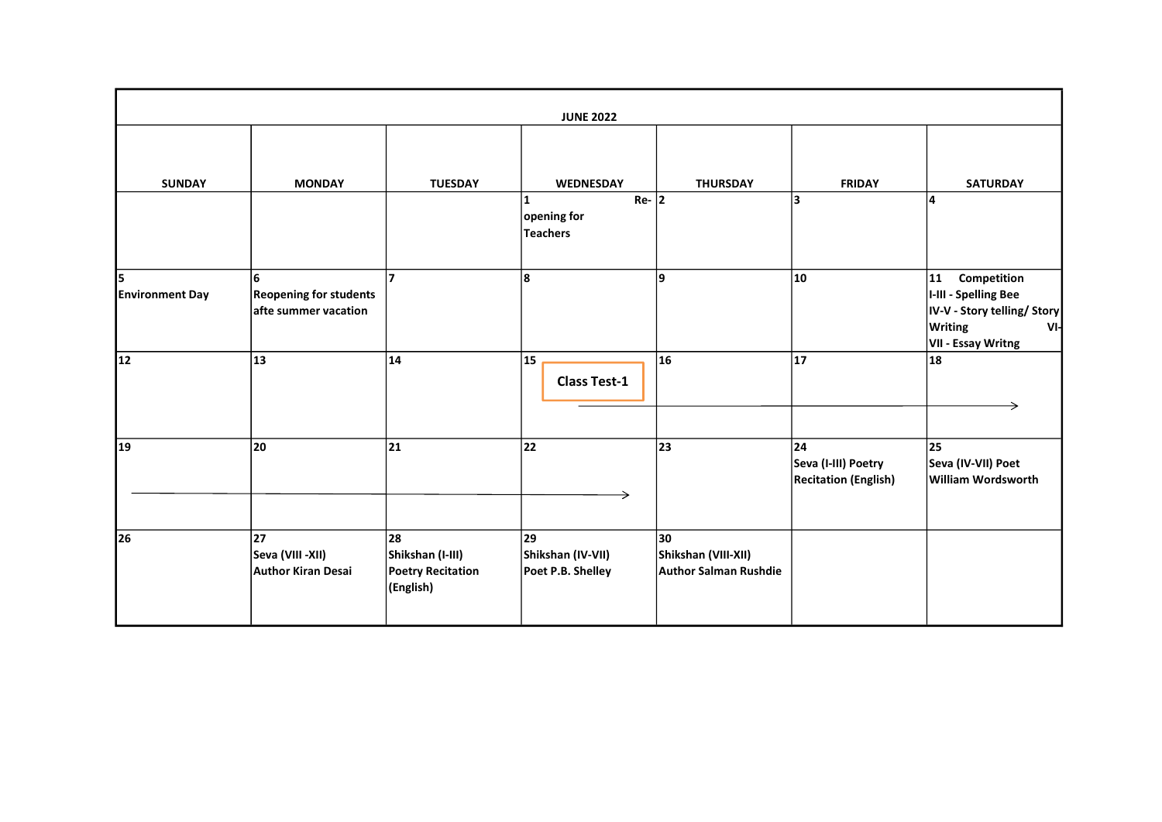|                             | <b>JUNE 2022</b>                                           |                                                                 |                                              |                                                           |                                                          |                                                                                                                 |
|-----------------------------|------------------------------------------------------------|-----------------------------------------------------------------|----------------------------------------------|-----------------------------------------------------------|----------------------------------------------------------|-----------------------------------------------------------------------------------------------------------------|
| <b>SUNDAY</b>               | <b>MONDAY</b>                                              | <b>TUESDAY</b>                                                  | <b>WEDNESDAY</b><br>$Re-$ 2<br>1             | <b>THURSDAY</b>                                           | <b>FRIDAY</b><br>3                                       | <b>SATURDAY</b><br>14                                                                                           |
|                             |                                                            |                                                                 | opening for<br><b>Teachers</b>               |                                                           |                                                          |                                                                                                                 |
| 5<br><b>Environment Day</b> | 6<br><b>Reopening for students</b><br>afte summer vacation | $\overline{7}$                                                  | 8                                            | 9                                                         | 10                                                       | 11<br>Competition<br>I-III - Spelling Bee<br>IV-V - Story telling/ Story<br>Writing<br>Vŀ<br>VII - Essay Writng |
| 12                          | 13                                                         | 14                                                              | 15<br><b>Class Test-1</b>                    | 16                                                        | 17                                                       | 18                                                                                                              |
| 19                          | 20                                                         | 21                                                              | 22                                           | 23                                                        | 24<br>Seva (I-III) Poetry<br><b>Recitation (English)</b> | 25<br>Seva (IV-VII) Poet<br><b>William Wordsworth</b>                                                           |
| 26                          | 27<br>Seva (VIII -XII)<br>Author Kiran Desai               | 28<br>Shikshan (I-III)<br><b>Poetry Recitation</b><br>(English) | 29<br>Shikshan (IV-VII)<br>Poet P.B. Shelley | 30<br>Shikshan (VIII-XII)<br><b>Author Salman Rushdie</b> |                                                          |                                                                                                                 |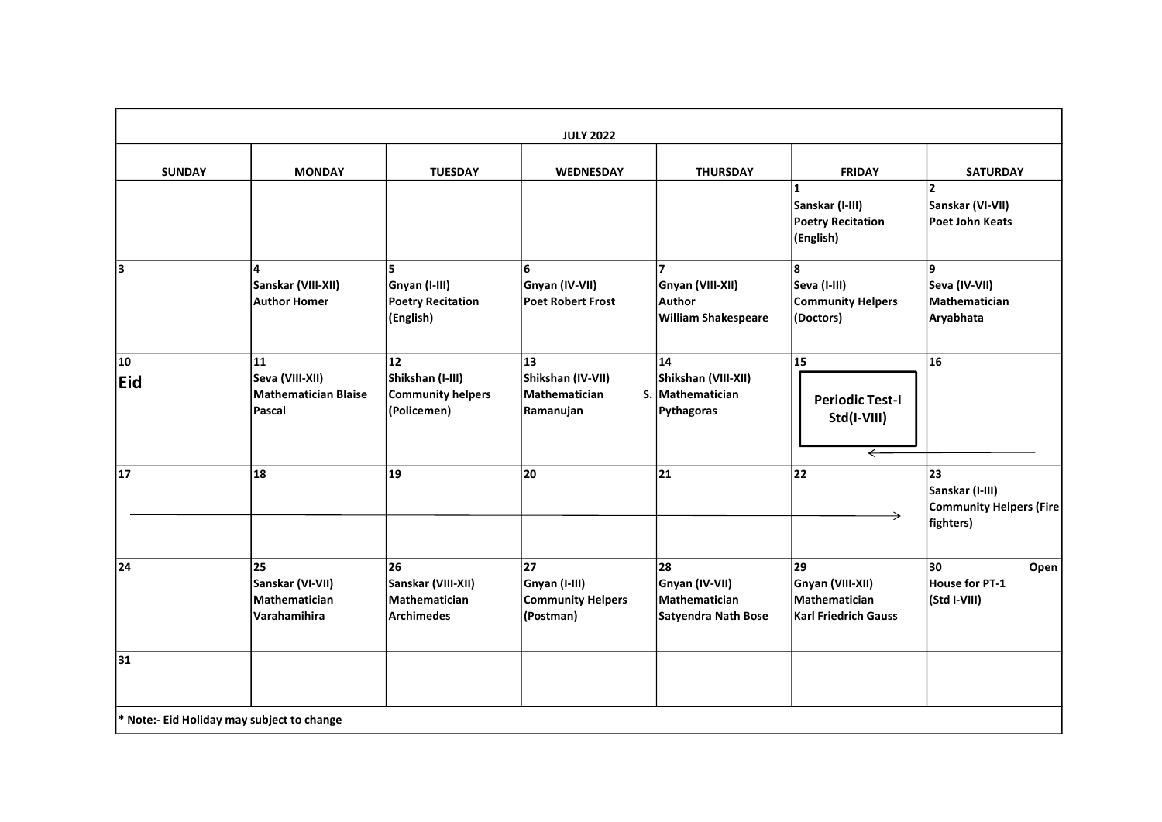|               |                                                         |                                                                       | <b>JULY 2022</b>                                             |                                                                                   |                                                                          |                                                                      |
|---------------|---------------------------------------------------------|-----------------------------------------------------------------------|--------------------------------------------------------------|-----------------------------------------------------------------------------------|--------------------------------------------------------------------------|----------------------------------------------------------------------|
| <b>SUNDAY</b> | <b>MONDAY</b>                                           | <b>TUESDAY</b>                                                        | WEDNESDAY                                                    | <b>THURSDAY</b>                                                                   | <b>FRIDAY</b>                                                            | <b>SATURDAY</b>                                                      |
|               |                                                         |                                                                       |                                                              |                                                                                   | $\mathbf{1}$<br>Sanskar (I-III)<br><b>Poetry Recitation</b><br>(English) | $\overline{\mathbf{2}}$<br>Sanskar (VI-VII)<br>Poet John Keats       |
| 3             | 4<br>Sanskar (VIII-XII)<br><b>Author Homer</b>          | 5.<br>Gnyan (I-III)<br><b>Poetry Recitation</b><br>(English)          | 6<br>Gnyan (IV-VII)<br>Poet Robert Frost                     | $\overline{7}$<br>Gnyan (VIII-XII)<br><b>Author</b><br><b>William Shakespeare</b> | 8<br>Seva (I-III)<br><b>Community Helpers</b><br>(Doctors)               | ۱g.<br>Seva (IV-VII)<br>Mathematician<br>Aryabhata                   |
| 10<br>Eid     | 11<br>Seva (VIII-XII)<br>Mathematician Blaise<br>Pascal | 12<br>Shikshan (I-III)<br><b>Community helpers</b><br>(Policemen)     | 13<br>Shikshan (IV-VII)<br>Mathematician<br>Ramanujan        | 14<br>Shikshan (VIII-XII)<br>S. Mathematician<br>Pythagoras                       | 15<br><b>Periodic Test-I</b><br>Std(I-VIII)<br>$\overline{\leftarrow}$   | 16                                                                   |
| 17            | 18                                                      | 19                                                                    | 20                                                           | 21                                                                                | 22                                                                       | 23<br>Sanskar (I-III)<br><b>Community Helpers (Fire</b><br>fighters) |
| 24            | 25<br>Sanskar (VI-VII)<br>Mathematician<br>Varahamihira | 26<br>Sanskar (VIII-XII)<br><b>Mathematician</b><br><b>Archimedes</b> | 27<br>Gnyan (I-III)<br><b>Community Helpers</b><br>(Postman) | 28<br>Gnyan (IV-VII)<br>Mathematician<br>Satyendra Nath Bose                      | 29<br>Gnyan (VIII-XII)<br>Mathematician<br><b>Karl Friedrich Gauss</b>   | 30<br>Open<br><b>House for PT-1</b><br>(Std I-VIII)                  |
| 31            |                                                         |                                                                       |                                                              |                                                                                   |                                                                          |                                                                      |
|               | * Note:- Eid Holiday may subject to change              |                                                                       |                                                              |                                                                                   |                                                                          |                                                                      |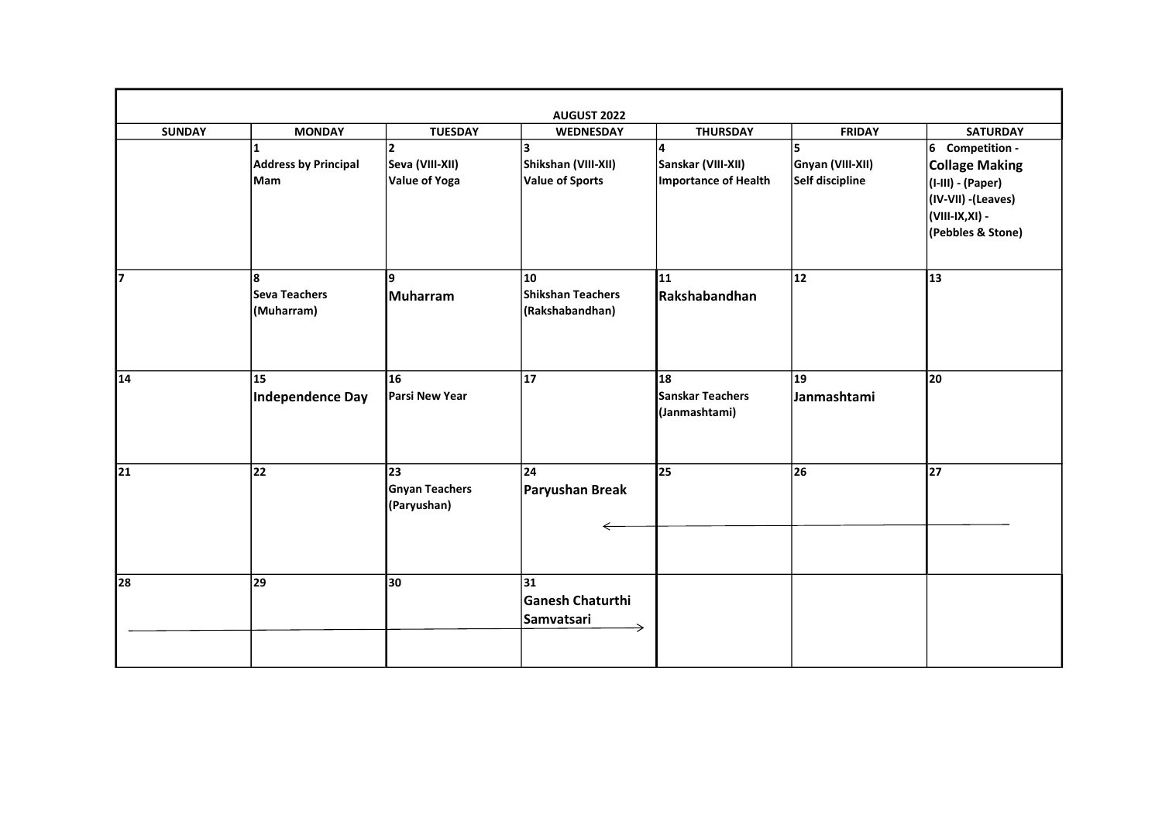|               |                             |                       | <b>AUGUST 2022</b>                   |                                   |                  |                                          |
|---------------|-----------------------------|-----------------------|--------------------------------------|-----------------------------------|------------------|------------------------------------------|
| <b>SUNDAY</b> | <b>MONDAY</b>               | <b>TUESDAY</b>        | <b>WEDNESDAY</b>                     | <b>THURSDAY</b>                   | <b>FRIDAY</b>    | <b>SATURDAY</b>                          |
|               |                             | $\mathbf{z}$          | 3                                    | 4                                 |                  | 6 Competition -                          |
|               | <b>Address by Principal</b> | Seva (VIII-XII)       | Shikshan (VIII-XII)                  | Sanskar (VIII-XII)                | Gnyan (VIII-XII) | <b>Collage Making</b>                    |
|               | Mam                         | Value of Yoga         | <b>Value of Sports</b>               | Importance of Health              | Self discipline  | (I-III) - (Paper)<br>(IV-VII) - (Leaves) |
|               |                             |                       |                                      |                                   |                  | (VIII-IX, XI) -                          |
|               |                             |                       |                                      |                                   |                  | (Pebbles & Stone)                        |
| 17            | 8                           | ١q                    | 10                                   | 11                                | 12               | 13                                       |
|               | Seva Teachers<br>(Muharram) | Muharram              | Shikshan Teachers<br>(Rakshabandhan) | Rakshabandhan                     |                  |                                          |
|               |                             |                       |                                      |                                   |                  |                                          |
| 14            | 15                          | 16                    | 17                                   | 18                                | 19               | 20                                       |
|               | Independence Day            | Parsi New Year        |                                      | Sanskar Teachers<br>(Janmashtami) | Janmashtami      |                                          |
| 21            | 22                          | 23                    | 24                                   | 25                                | 26               | 27                                       |
|               |                             | <b>Gnyan Teachers</b> | Paryushan Break                      |                                   |                  |                                          |
|               |                             | (Paryushan)           |                                      |                                   |                  |                                          |
|               |                             |                       |                                      |                                   |                  |                                          |
|               |                             |                       |                                      |                                   |                  |                                          |
| 28            | 29                          | 30                    | 31                                   |                                   |                  |                                          |
|               |                             |                       | <b>Ganesh Chaturthi</b>              |                                   |                  |                                          |
|               |                             |                       | Samvatsari                           |                                   |                  |                                          |
|               |                             |                       |                                      |                                   |                  |                                          |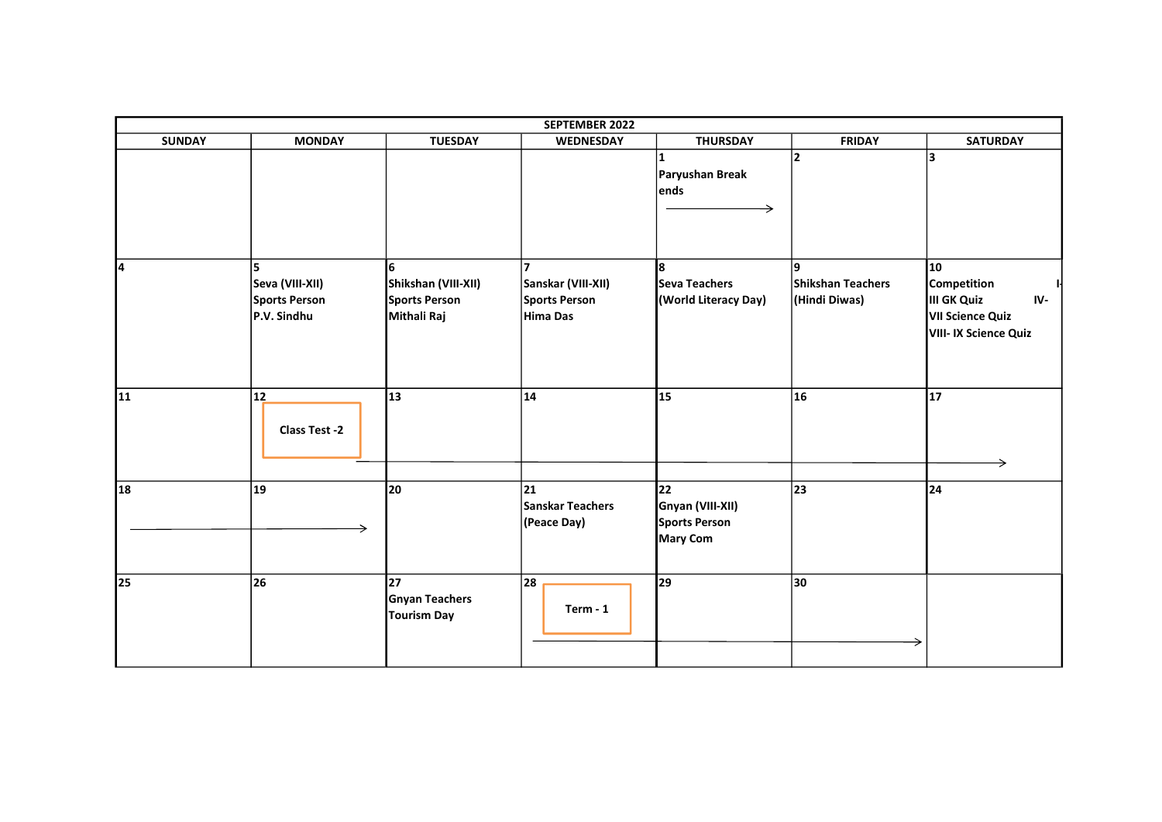|               |                                                        |                                                                | SEPTEMBER 2022                                                             |                                                                   |                                    |                                                                                             |
|---------------|--------------------------------------------------------|----------------------------------------------------------------|----------------------------------------------------------------------------|-------------------------------------------------------------------|------------------------------------|---------------------------------------------------------------------------------------------|
| <b>SUNDAY</b> | <b>MONDAY</b>                                          | <b>TUESDAY</b>                                                 | <b>WEDNESDAY</b>                                                           | <b>THURSDAY</b>                                                   | <b>FRIDAY</b>                      | <b>SATURDAY</b>                                                                             |
|               |                                                        |                                                                |                                                                            | 1<br>Paryushan Break<br>ends                                      | $\overline{2}$                     | lз                                                                                          |
| l4            | ls.<br>Seva (VIII-XII)<br>Sports Person<br>P.V. Sindhu | 6<br>Shikshan (VIII-XII)<br>Sports Person<br>Mithali Raj       | $\overline{\mathbf{z}}$<br>Sanskar (VIII-XII)<br>Sports Person<br>Hima Das | l8.<br><b>Seva Teachers</b><br>(World Literacy Day)               | Shikshan Teachers<br>(Hindi Diwas) | 10<br><b>Competition</b><br>III GK Quiz<br>IV-<br>VII Science Quiz<br>VIII- IX Science Quiz |
| 11            | 12<br><b>Class Test -2</b>                             | 13                                                             | 14                                                                         | 15                                                                | 16                                 | 17<br>→                                                                                     |
| 18            | 19                                                     | 20                                                             | 21<br>Sanskar Teachers<br>(Peace Day)                                      | 22<br>Gnyan (VIII-XII)<br><b>Sports Person</b><br><b>Mary Com</b> | 23                                 | 24                                                                                          |
| 25            | 26                                                     | $\overline{27}$<br><b>Gnyan Teachers</b><br><b>Tourism Day</b> | 28<br>$Term - 1$                                                           | 29                                                                | 30                                 |                                                                                             |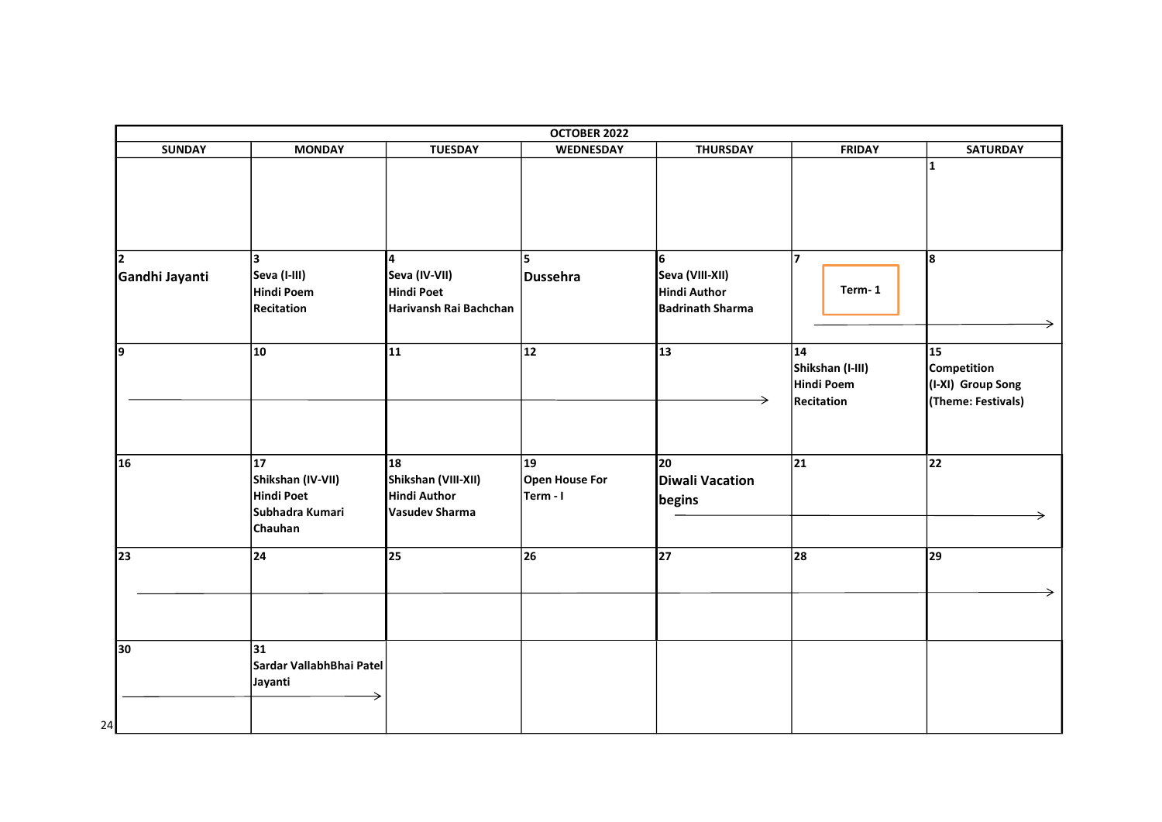|                                  |                                                                                  |                                                                           | OCTOBER 2022                                      |                                                                        |                                                              |                                                                                  |
|----------------------------------|----------------------------------------------------------------------------------|---------------------------------------------------------------------------|---------------------------------------------------|------------------------------------------------------------------------|--------------------------------------------------------------|----------------------------------------------------------------------------------|
| <b>SUNDAY</b>                    | <b>MONDAY</b>                                                                    | <b>TUESDAY</b>                                                            | WEDNESDAY                                         | <b>THURSDAY</b>                                                        | <b>FRIDAY</b>                                                | <b>SATURDAY</b>                                                                  |
|                                  |                                                                                  |                                                                           |                                                   |                                                                        |                                                              | 11.                                                                              |
| $\overline{2}$<br>Gandhi Jayanti | 3<br>Seva (I-III)<br>Hindi Poem<br>Recitation                                    | 4<br>Seva (IV-VII)<br><b>Hindi Poet</b><br>Harivansh Rai Bachchan         | 5<br>Dussehra                                     | 6<br>Seva (VIII-XII)<br><b>Hindi Author</b><br><b>Badrinath Sharma</b> | 17<br>Term-1                                                 | 8                                                                                |
| 19                               | $ 10\rangle$                                                                     | 11                                                                        | $ 12\rangle$                                      | $\overline{13}$                                                        | $ 14\rangle$<br>Shikshan (I-III)<br>Hindi Poem<br>Recitation | $\overline{15}$<br><b>Competition</b><br>(I-XI) Group Song<br>(Theme: Festivals) |
| 16                               | $\overline{17}$<br>Shikshan (IV-VII)<br>Hindi Poet<br>Subhadra Kumari<br>Chauhan | 18<br>Shikshan (VIII-XII)<br><b>Hindi Author</b><br><b>Vasudev Sharma</b> | $\overline{19}$<br>Open House For<br>$ Term - I $ | $\overline{20}$<br><b>Diwali Vacation</b><br>begins                    | $\overline{21}$                                              | $\overline{22}$<br>→                                                             |
| 23                               | 24                                                                               | 25                                                                        | $ 26\rangle$                                      | $\overline{27}$                                                        | 28                                                           | 29                                                                               |
| 30<br>24                         | 31 <br>Sardar VallabhBhai Patel<br>Jayanti                                       |                                                                           |                                                   |                                                                        |                                                              |                                                                                  |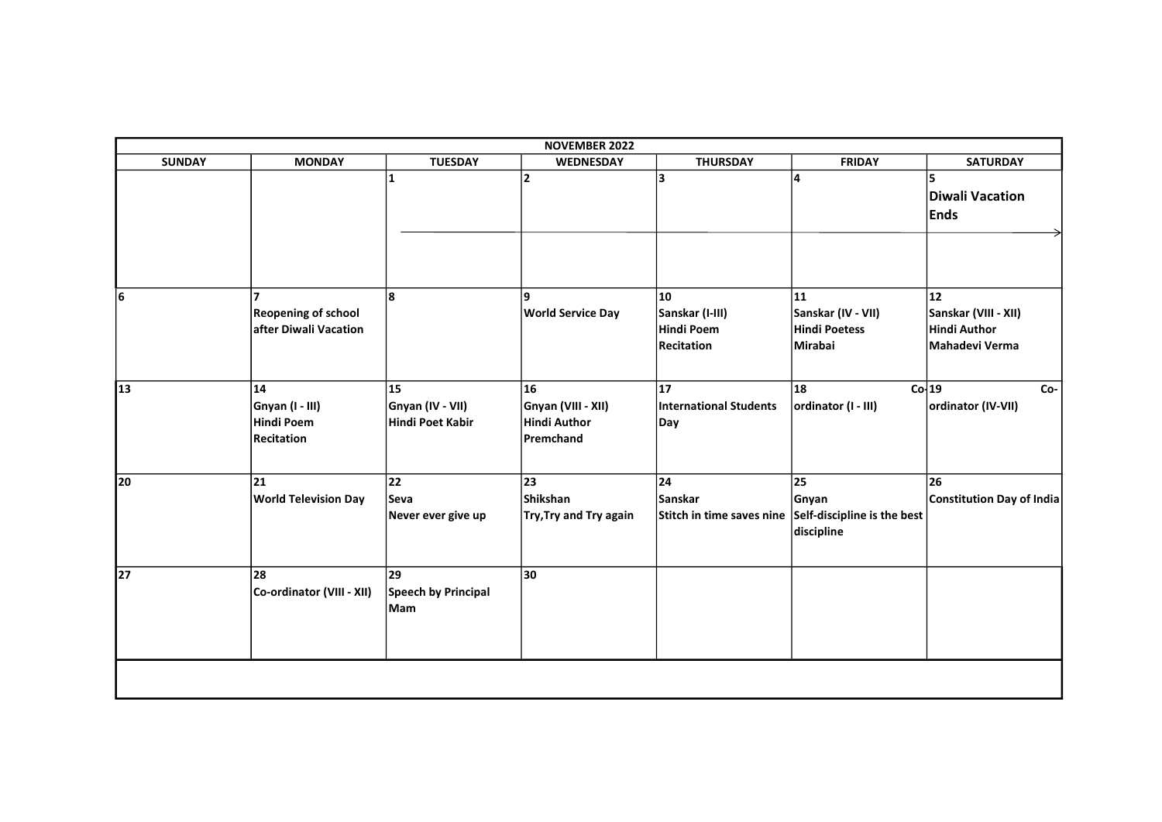|               |                                                                       |                                                   | <b>NOVEMBER 2022</b>                                         |                                                          |                                                                                    |                                                              |
|---------------|-----------------------------------------------------------------------|---------------------------------------------------|--------------------------------------------------------------|----------------------------------------------------------|------------------------------------------------------------------------------------|--------------------------------------------------------------|
| <b>SUNDAY</b> | <b>MONDAY</b>                                                         | <b>TUESDAY</b>                                    | WEDNESDAY                                                    | <b>THURSDAY</b>                                          | <b>FRIDAY</b>                                                                      | <b>SATURDAY</b>                                              |
|               |                                                                       | 1                                                 | $\overline{2}$                                               | 3                                                        | 4                                                                                  | 5<br>Diwali Vacation<br><b>Ends</b>                          |
| 6             | $\overline{ }$<br><b>Reopening of school</b><br>after Diwali Vacation | l8                                                | 9<br><b>World Service Day</b>                                | 10<br>Sanskar (I-III)<br>Hindi Poem<br><b>Recitation</b> | 11<br>Sanskar (IV - VII)<br>Hindi Poetess<br>Mirabai                               | 12<br>Sanskar (VIII - XII)<br>Hindi Author<br>Mahadevi Verma |
| 13            | 14<br>Gnyan (I - III)<br>Hindi Poem<br><b>Recitation</b>              | 15<br><b>Gnyan (IV - VII)</b><br>Hindi Poet Kabir | 16<br>Gnyan (VIII - XII)<br>Hindi Author<br><b>Premchand</b> | 17<br>International Students<br>Day                      | 18<br>ordinator (I - III)                                                          | Co <sub>19</sub><br>Co-<br>ordinator (IV-VII)                |
| 20            | 21<br><b>World Television Day</b>                                     | 22<br> Seva<br>Never ever give up                 | 23<br>Shikshan<br>Try, Try and Try again                     | 24<br>Sanskar                                            | 25<br>Gnyan<br>Stitch in time saves nine Self-discipline is the best<br>discipline | 26<br>Constitution Day of India                              |
| 27            | 28<br>Co-ordinator (VIII - XII)                                       | 29<br>Speech by Principal<br>Mam                  | 30                                                           |                                                          |                                                                                    |                                                              |
|               |                                                                       |                                                   |                                                              |                                                          |                                                                                    |                                                              |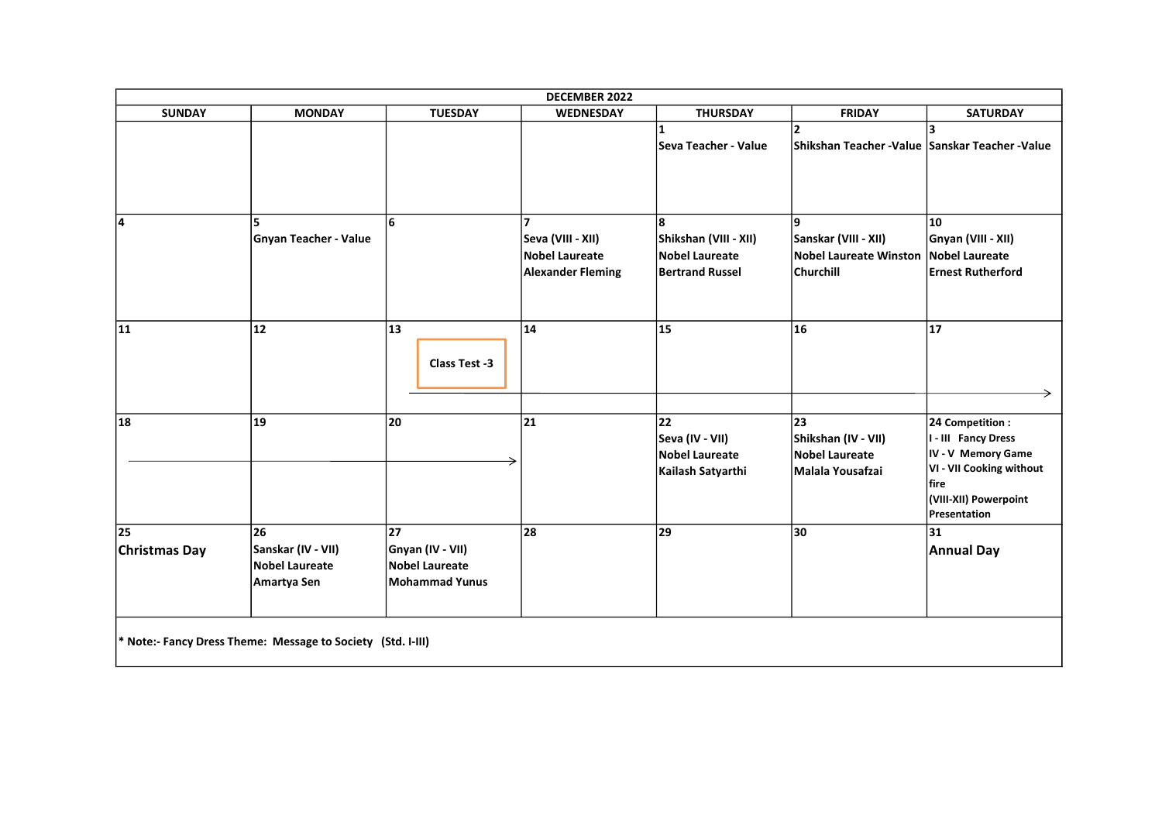|                            |                                                             |                                                                          | DECEMBER 2022                                                   |                                                                               |                                                                           |                                                                                                                                                   |
|----------------------------|-------------------------------------------------------------|--------------------------------------------------------------------------|-----------------------------------------------------------------|-------------------------------------------------------------------------------|---------------------------------------------------------------------------|---------------------------------------------------------------------------------------------------------------------------------------------------|
| <b>SUNDAY</b>              | <b>MONDAY</b>                                               | <b>TUESDAY</b>                                                           | <b>WEDNESDAY</b>                                                | <b>THURSDAY</b>                                                               | <b>FRIDAY</b>                                                             | <b>SATURDAY</b>                                                                                                                                   |
|                            |                                                             |                                                                          |                                                                 | <b>Seva Teacher - Value</b>                                                   | Shikshan Teacher -Value Sanskar Teacher -Value                            | 3                                                                                                                                                 |
| 14                         | 5<br><b>Gnyan Teacher - Value</b>                           | 6                                                                        | Seva (VIII - XII)<br>Nobel Laureate<br><b>Alexander Fleming</b> | 8<br>Shikshan (VIII - XII)<br><b>Nobel Laureate</b><br><b>Bertrand Russel</b> | Sanskar (VIII - XII)<br><b>Nobel Laureate Winston</b><br><b>Churchill</b> | 10<br>Gnyan (VIII - XII)<br><b>Nobel Laureate</b><br><b>Ernest Rutherford</b>                                                                     |
| 11                         | 12                                                          | 13<br>Class Test -3                                                      | 14                                                              | 15                                                                            | 16                                                                        | 17                                                                                                                                                |
| 18                         | 19                                                          | 20                                                                       | 21                                                              | 22<br>Seva (IV - VII)<br><b>Nobel Laureate</b><br>Kailash Satyarthi           | 23<br>Shikshan (IV - VII)<br><b>Nobel Laureate</b><br>Malala Yousafzai    | 24 Competition :<br>I - III Fancy Dress<br>IV - V Memory Game<br>VI - VII Cooking without<br><b>fire</b><br>(VIII-XII) Powerpoint<br>Presentation |
| 25<br><b>Christmas Day</b> | 26<br>Sanskar (IV - VII)<br>Nobel Laureate<br>Amartya Sen   | 27<br>Gnyan (IV - VII)<br><b>Nobel Laureate</b><br><b>Mohammad Yunus</b> | 28                                                              | 29                                                                            | 30                                                                        | 31<br><b>Annual Day</b>                                                                                                                           |
|                            | * Note:- Fancy Dress Theme: Message to Society (Std. I-III) |                                                                          |                                                                 |                                                                               |                                                                           |                                                                                                                                                   |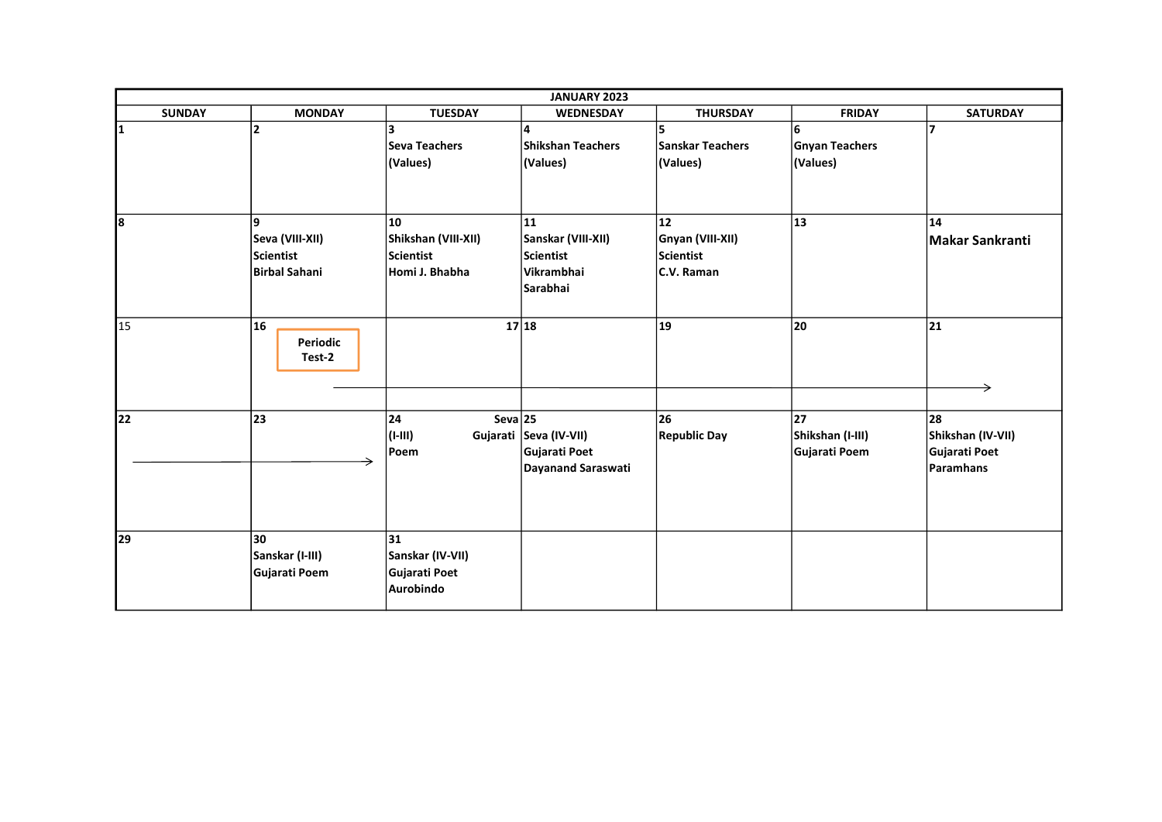|               |                                                           |                                                          | JANUARY 2023                                                           |                                                          |                                         |                                                       |
|---------------|-----------------------------------------------------------|----------------------------------------------------------|------------------------------------------------------------------------|----------------------------------------------------------|-----------------------------------------|-------------------------------------------------------|
| <b>SUNDAY</b> | <b>MONDAY</b>                                             | <b>TUESDAY</b>                                           | WEDNESDAY                                                              | <b>THURSDAY</b>                                          | <b>FRIDAY</b>                           | <b>SATURDAY</b>                                       |
| 1             | $\overline{2}$                                            | <b>Seva Teachers</b><br>(Values)                         | 4<br><b>Shikshan Teachers</b><br>(Values)                              | 5<br><b>Sanskar Teachers</b><br>(Values)                 | 6<br><b>Gnyan Teachers</b><br>(Values)  | 7                                                     |
| l8            | 9<br>Seva (VIII-XII)<br>Scientist<br><b>Birbal Sahani</b> | 10<br>Shikshan (VIII-XII)<br>Scientist<br>Homi J. Bhabha | 11<br>Sanskar (VIII-XII)<br><b>Scientist</b><br>Vikrambhai<br>Sarabhai | 12<br>Gnyan (VIII-XII)<br><b>Scientist</b><br>C.V. Raman | 13                                      | 14<br>Makar Sankranti                                 |
| 15            | 16<br>Periodic<br>Test-2                                  |                                                          | 17 18                                                                  | 19                                                       | 20                                      | 21                                                    |
| 22            | 23                                                        | $Seva$ 25<br>24<br> (I-III) <br>Poem                     | Gujarati Seva (IV-VII)<br>Gujarati Poet<br>Dayanand Saraswati          | 26<br><b>Republic Day</b>                                | 27<br>Shikshan (I-III)<br>Gujarati Poem | 28<br>Shikshan (IV-VII)<br>Gujarati Poet<br>Paramhans |
| 29            | 30<br>Sanskar (I-III)<br>Gujarati Poem                    | 31<br>Sanskar (IV-VII)<br>Gujarati Poet<br>Aurobindo     |                                                                        |                                                          |                                         |                                                       |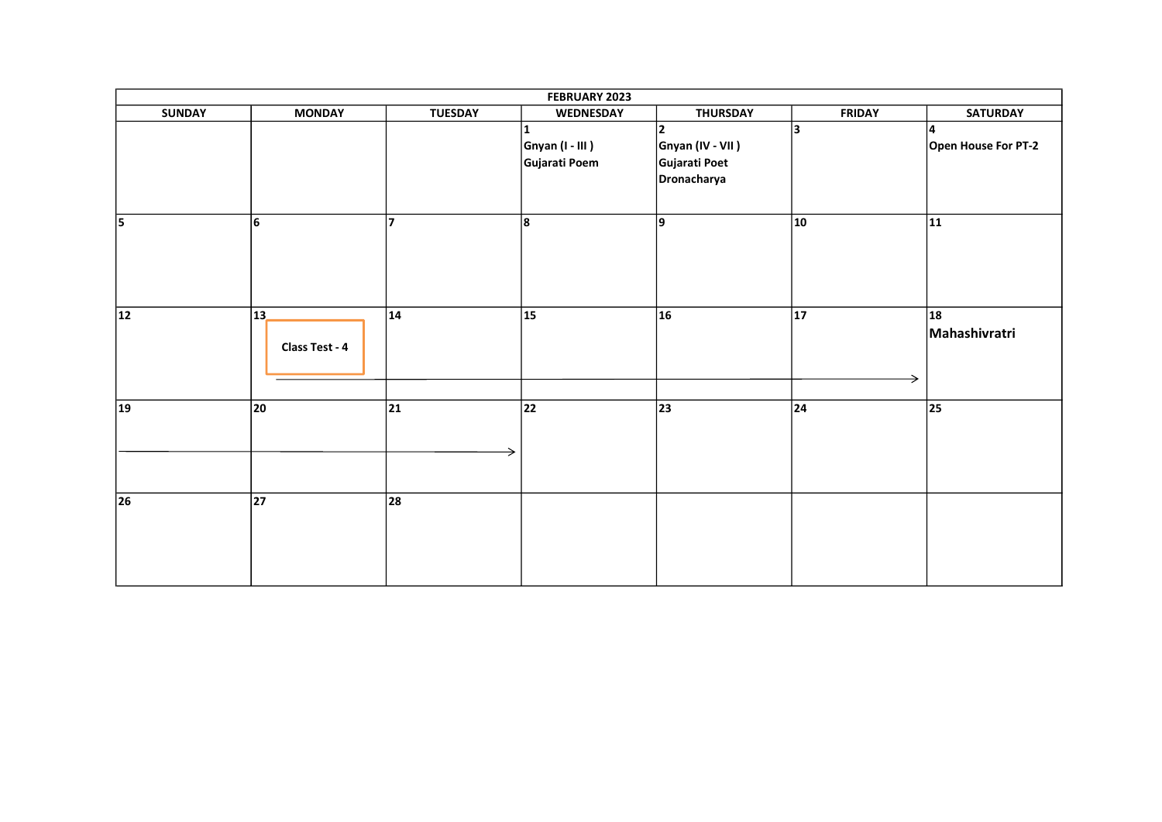|                 | FEBRUARY 2023        |                |                                                    |                                                                     |               |                                  |
|-----------------|----------------------|----------------|----------------------------------------------------|---------------------------------------------------------------------|---------------|----------------------------------|
| <b>SUNDAY</b>   | <b>MONDAY</b>        | <b>TUESDAY</b> | <b>WEDNESDAY</b>                                   | <b>THURSDAY</b>                                                     | <b>FRIDAY</b> | <b>SATURDAY</b>                  |
|                 |                      |                | $\mathbf{1}$<br>$Gnyan (I - III)$<br>Gujarati Poem | $\overline{2}$<br>Gnyan (IV - VII )<br>Gujarati Poet<br>Dronacharya | 3             | 14<br>Open House For PT-2        |
| $\overline{5}$  | 6                    | 17             | 8                                                  | 9                                                                   | $ 10\rangle$  | $\overline{11}$                  |
| $\overline{12}$ | 13<br>Class Test - 4 | 14             | $\overline{15}$                                    | 16                                                                  | 17            | $\overline{18}$<br>Mahashivratri |
| $\overline{19}$ | 20                   | 21             | 22                                                 | 23                                                                  | 24            | 25                               |
| 26              | 27                   | 28             |                                                    |                                                                     |               |                                  |